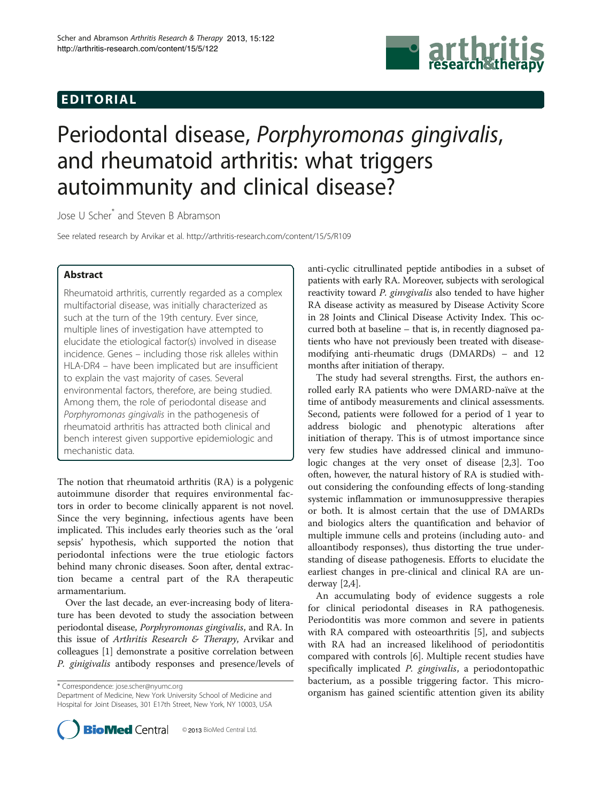# EDITORIAL



# Periodontal disease, Porphyromonas gingivalis, and rheumatoid arthritis: what triggers autoimmunity and clinical disease?

Jose U Scher\* and Steven B Abramson

See related research by Arvikar et al. http://arthritis-research.com/content/15/5/R109

## Abstract

Rheumatoid arthritis, currently regarded as a complex multifactorial disease, was initially characterized as such at the turn of the 19th century. Ever since, multiple lines of investigation have attempted to elucidate the etiological factor(s) involved in disease incidence. Genes – including those risk alleles within HLA-DR4 – have been implicated but are insufficient to explain the vast majority of cases. Several environmental factors, therefore, are being studied. Among them, the role of periodontal disease and Porphyromonas gingivalis in the pathogenesis of rheumatoid arthritis has attracted both clinical and bench interest given supportive epidemiologic and mechanistic data.

The notion that rheumatoid arthritis (RA) is a polygenic autoimmune disorder that requires environmental factors in order to become clinically apparent is not novel. Since the very beginning, infectious agents have been implicated. This includes early theories such as the 'oral sepsis' hypothesis, which supported the notion that periodontal infections were the true etiologic factors behind many chronic diseases. Soon after, dental extraction became a central part of the RA therapeutic armamentarium.

Over the last decade, an ever-increasing body of literature has been devoted to study the association between periodontal disease, Porphyromonas gingivalis, and RA. In this issue of Arthritis Research & Therapy, Arvikar and colleagues [\[1\]](#page-1-0) demonstrate a positive correlation between P. ginigivalis antibody responses and presence/levels of

\* Correspondence: [jose.scher@nyumc.org](mailto:jose.scher@nyumc.org)

Department of Medicine, New York University School of Medicine and Hospital for Joint Diseases, 301 E17th Street, New York, NY 10003, USA



anti-cyclic citrullinated peptide antibodies in a subset of patients with early RA. Moreover, subjects with serological reactivity toward P. ginvgivalis also tended to have higher RA disease activity as measured by Disease Activity Score in 28 Joints and Clinical Disease Activity Index. This occurred both at baseline – that is, in recently diagnosed patients who have not previously been treated with diseasemodifying anti-rheumatic drugs (DMARDs) – and 12 months after initiation of therapy.

The study had several strengths. First, the authors enrolled early RA patients who were DMARD-naïve at the time of antibody measurements and clinical assessments. Second, patients were followed for a period of 1 year to address biologic and phenotypic alterations after initiation of therapy. This is of utmost importance since very few studies have addressed clinical and immunologic changes at the very onset of disease [\[2,3](#page-1-0)]. Too often, however, the natural history of RA is studied without considering the confounding effects of long-standing systemic inflammation or immunosuppressive therapies or both. It is almost certain that the use of DMARDs and biologics alters the quantification and behavior of multiple immune cells and proteins (including auto- and alloantibody responses), thus distorting the true understanding of disease pathogenesis. Efforts to elucidate the earliest changes in pre-clinical and clinical RA are underway [[2,4\]](#page-1-0).

An accumulating body of evidence suggests a role for clinical periodontal diseases in RA pathogenesis. Periodontitis was more common and severe in patients with RA compared with osteoarthritis [\[5](#page-1-0)], and subjects with RA had an increased likelihood of periodontitis compared with controls [[6\]](#page-1-0). Multiple recent studies have specifically implicated *P. gingivalis*, a periodontopathic bacterium, as a possible triggering factor. This microorganism has gained scientific attention given its ability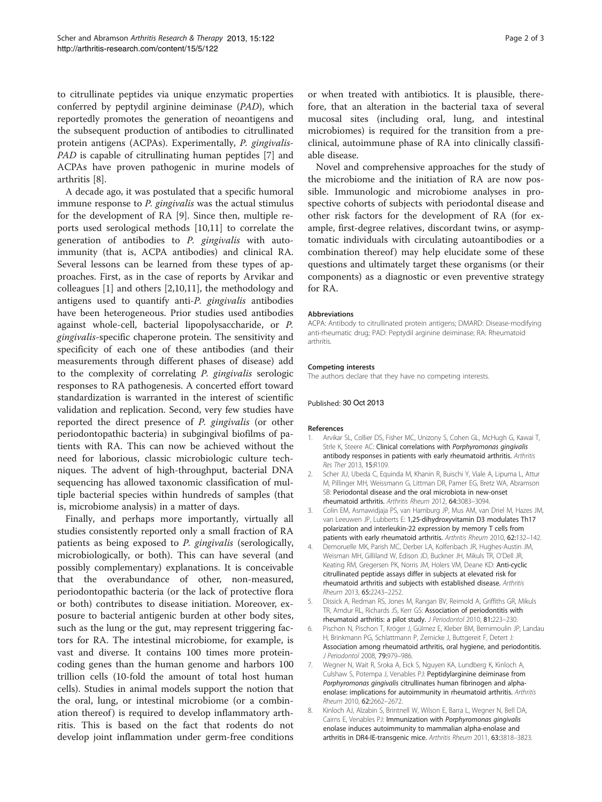<span id="page-1-0"></span>to citrullinate peptides via unique enzymatic properties conferred by peptydil arginine deiminase (PAD), which reportedly promotes the generation of neoantigens and the subsequent production of antibodies to citrullinated protein antigens (ACPAs). Experimentally, P. gingivalis-PAD is capable of citrullinating human peptides [7] and ACPAs have proven pathogenic in murine models of arthritis [8].

A decade ago, it was postulated that a specific humoral immune response to *P. gingivalis* was the actual stimulus for the development of RA [\[9](#page-2-0)]. Since then, multiple reports used serological methods [[10,11](#page-2-0)] to correlate the generation of antibodies to P. gingivalis with autoimmunity (that is, ACPA antibodies) and clinical RA. Several lessons can be learned from these types of approaches. First, as in the case of reports by Arvikar and colleagues [1] and others [2,[10,11\]](#page-2-0), the methodology and antigens used to quantify anti-P. gingivalis antibodies have been heterogeneous. Prior studies used antibodies against whole-cell, bacterial lipopolysaccharide, or P. gingivalis-specific chaperone protein. The sensitivity and specificity of each one of these antibodies (and their measurements through different phases of disease) add to the complexity of correlating P. gingivalis serologic responses to RA pathogenesis. A concerted effort toward standardization is warranted in the interest of scientific validation and replication. Second, very few studies have reported the direct presence of P. gingivalis (or other periodontopathic bacteria) in subgingival biofilms of patients with RA. This can now be achieved without the need for laborious, classic microbiologic culture techniques. The advent of high-throughput, bacterial DNA sequencing has allowed taxonomic classification of multiple bacterial species within hundreds of samples (that is, microbiome analysis) in a matter of days.

Finally, and perhaps more importantly, virtually all studies consistently reported only a small fraction of RA patients as being exposed to P. gingivalis (serologically, microbiologically, or both). This can have several (and possibly complementary) explanations. It is conceivable that the overabundance of other, non-measured, periodontopathic bacteria (or the lack of protective flora or both) contributes to disease initiation. Moreover, exposure to bacterial antigenic burden at other body sites, such as the lung or the gut, may represent triggering factors for RA. The intestinal microbiome, for example, is vast and diverse. It contains 100 times more proteincoding genes than the human genome and harbors 100 trillion cells (10-fold the amount of total host human cells). Studies in animal models support the notion that the oral, lung, or intestinal microbiome (or a combination thereof) is required to develop inflammatory arthritis. This is based on the fact that rodents do not develop joint inflammation under germ-free conditions or when treated with antibiotics. It is plausible, therefore, that an alteration in the bacterial taxa of several mucosal sites (including oral, lung, and intestinal microbiomes) is required for the transition from a preclinical, autoimmune phase of RA into clinically classifiable disease.

Novel and comprehensive approaches for the study of the microbiome and the initiation of RA are now possible. Immunologic and microbiome analyses in prospective cohorts of subjects with periodontal disease and other risk factors for the development of RA (for example, first-degree relatives, discordant twins, or asymptomatic individuals with circulating autoantibodies or a combination thereof) may help elucidate some of these questions and ultimately target these organisms (or their components) as a diagnostic or even preventive strategy for RA.

ACPA: Antibody to citrullinated protein antigens; DMARD: Disease-modifying anti-rheumatic drug; PAD: Peptydil arginine deiminase; RA: Rheumatoid arthritis.

#### **Competing interests**

The authors declare that they have no competing interests.

#### Published: 30 Oct 2013

#### References

- 1. Arvikar SL, Collier DS, Fisher MC, Unizony S, Cohen GL, McHugh G, Kawai T, Strle K, Steere AC: **Clinical correlations with Porphyromonas gingivalis**<br>antibody responses in patients with early rheumatoid arthritis. Arthritis Res Ther 2013, 15:R109.
- 2. Scher JU, Ubeda C, Equinda M, Khanin R, Buischi Y, Viale A, Lipuma L, Attur M, Pillinger MH, Weissmann G, Littman DR, Pamer EG, Bretz WA, Abramson SB: Periodontal disease and the oral microbiota in new-onset rheumatoid arthritis. Arthritis Rheum 2012, 64:3083–3094.
- 3. Colin EM, Asmawidjaja PS, van Hamburg JP, Mus AM, van Driel M, Hazes JM, van Leeuwen JP, Lubberts E: 1,25-dihydroxyvitamin D3 modulates Th17 polarization and interleukin-22 expression by memory T cells from patients with early rheumatoid arthritis. Arthritis Rheum 2010, 62:132-142.
- 4. Demoruelle MK, Parish MC, Derber LA, Kolfenbach JR, Hughes-Austin JM, Weisman MH, Gilliland W, Edison JD, Buckner JH, Mikuls TR, O'Dell JR, Keating RM, Gregersen PK, Norris JM, Holers VM, Deane KD: Anti-cyclic citrullinated peptide assays differ in subjects at elevated risk for rheumatoid arthritis and subjects with established disease. Arthritis Rheum 2013, 65:2243–2252.
- 5. Dissick A, Redman RS, Jones M, Rangan BV, Reimold A, Griffiths GR, Mikuls TR, Amdur RL, Richards JS, Kerr GS: Association of periodontitis with rheumatoid arthritis: a pilot study. J Periodontol 2010, 81:223–230.
- 6. Pischon N, Pischon T, Kröger J, Gülmez E, Kleber BM, Bernimoulin JP, Landau H, Brinkmann PG, Schlattmann P, Zernicke J, Buttgereit F, Detert J: Association among rheumatoid arthritis, oral hygiene, and periodontitis. J Periodontol 2008, 79:979–986.
- 7. Wegner N, Wait R, Sroka A, Eick S, Nguyen KA, Lundberg K, Kinloch A, Culshaw S, Potempa J, Venables PJ: Peptidylarginine deiminase from Porphyromonas gingivalis citrullinates human fibrinogen and alphaenolase: implications for autoimmunity in rheumatoid arthritis. Arthritis Rheum 2010, 62:2662–2672.
- 8. Kinloch AJ, Alzabin S, Brintnell W, Wilson E, Barra L, Wegner N, Bell DA, Cairns E, Venables PJ: Immunization with Porphyromonas gingivalis enolase induces autoimmunity to mammalian alpha-enolase and arthritis in DR4-IE-transgenic mice. Arthritis Rheum 2011, 63:3818–3823.